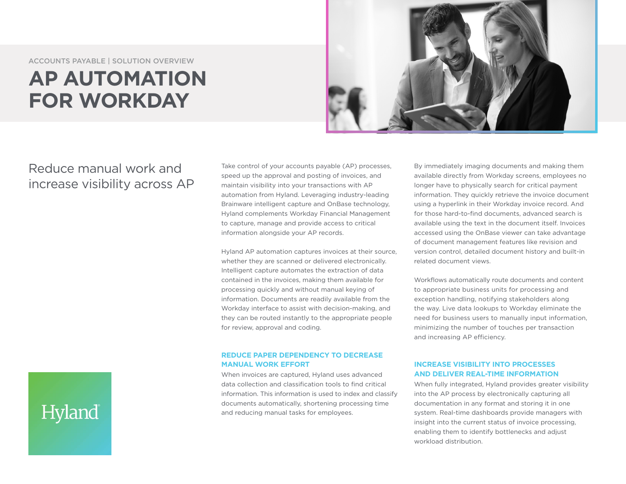ACCOUNTS PAYABLE | SOLUTION OVERVIEW

# **AP AUTOMATION FOR WORKDAY**



# Reduce manual work and increase visibility across AP

Take control of your accounts payable (AP) processes, speed up the approval and posting of invoices, and maintain visibility into your transactions with AP automation from Hyland. Leveraging industry-leading Brainware intelligent capture and OnBase technology, Hyland complements Workday Financial Management to capture, manage and provide access to critical information alongside your AP records.

Hyland AP automation captures invoices at their source, whether they are scanned or delivered electronically. Intelligent capture automates the extraction of data contained in the invoices, making them available for processing quickly and without manual keying of information. Documents are readily available from the Workday interface to assist with decision-making, and they can be routed instantly to the appropriate people for review, approval and coding.

#### **REDUCE PAPER DEPENDENCY TO DECREASE MANUAL WORK EFFORT**

When invoices are captured, Hyland uses advanced data collection and classification tools to find critical information. This information is used to index and classify documents automatically, shortening processing time and reducing manual tasks for employees.

By immediately imaging documents and making them available directly from Workday screens, employees no longer have to physically search for critical payment information. They quickly retrieve the invoice document using a hyperlink in their Workday invoice record. And for those hard-to-find documents, advanced search is available using the text in the document itself. Invoices accessed using the OnBase viewer can take advantage of document management features like revision and version control, detailed document history and built-in related document views.

Workflows automatically route documents and content to appropriate business units for processing and exception handling, notifying stakeholders along the way. Live data lookups to Workday eliminate the need for business users to manually input information, minimizing the number of touches per transaction and increasing AP efficiency.

## **INCREASE VISIBILITY INTO PROCESSES AND DELIVER REAL-TIME INFORMATION**

When fully integrated, Hyland provides greater visibility into the AP process by electronically capturing all documentation in any format and storing it in one system. Real-time dashboards provide managers with insight into the current status of invoice processing, enabling them to identify bottlenecks and adjust workload distribution.